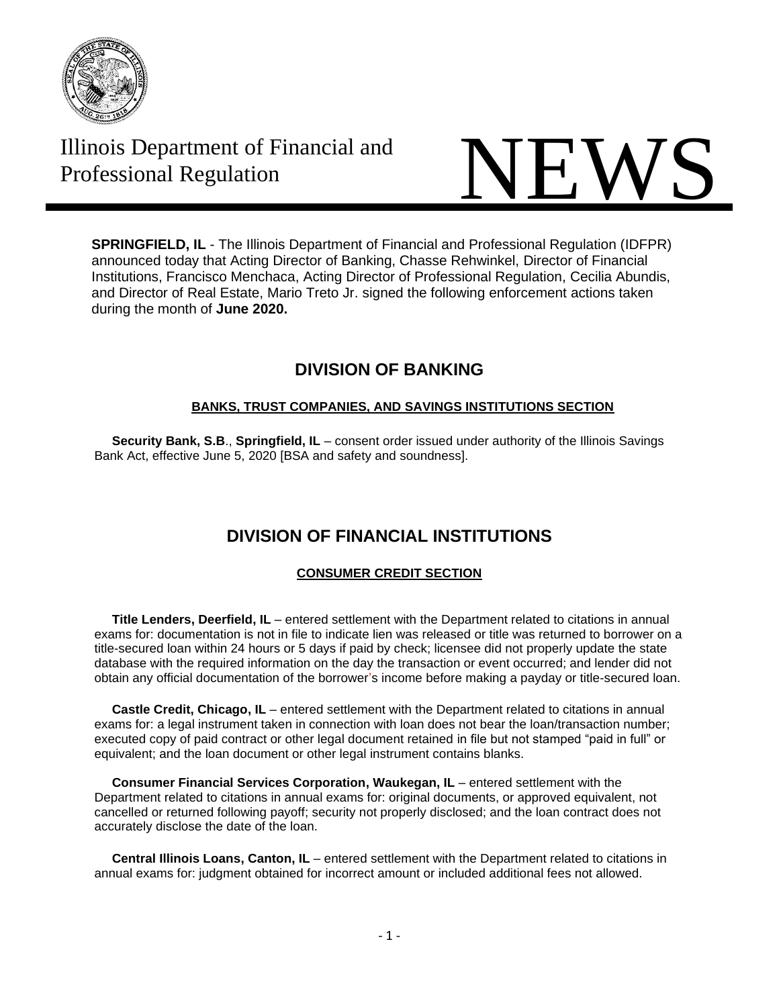

# Illinois Department of Financial and



**SPRINGFIELD, IL** - The Illinois Department of Financial and Professional Regulation (IDFPR) announced today that Acting Director of Banking, Chasse Rehwinkel, Director of Financial Institutions, Francisco Menchaca, Acting Director of Professional Regulation, Cecilia Abundis, and Director of Real Estate, Mario Treto Jr. signed the following enforcement actions taken during the month of **June 2020.**

# **DIVISION OF BANKING**

### **BANKS, TRUST COMPANIES, AND SAVINGS INSTITUTIONS SECTION**

 **Security Bank, S.B**., **Springfield, IL** – consent order issued under authority of the Illinois Savings Bank Act, effective June 5, 2020 [BSA and safety and soundness].

# **DIVISION OF FINANCIAL INSTITUTIONS**

## **CONSUMER CREDIT SECTION**

 **Title Lenders, Deerfield, IL** – entered settlement with the Department related to citations in annual exams for: documentation is not in file to indicate lien was released or title was returned to borrower on a title-secured loan within 24 hours or 5 days if paid by check; licensee did not properly update the state database with the required information on the day the transaction or event occurred; and lender did not obtain any official documentation of the borrower's income before making a payday or title-secured loan.

 **Castle Credit, Chicago, IL** – entered settlement with the Department related to citations in annual exams for: a legal instrument taken in connection with loan does not bear the loan/transaction number; executed copy of paid contract or other legal document retained in file but not stamped "paid in full" or equivalent; and the loan document or other legal instrument contains blanks.

 **Consumer Financial Services Corporation, Waukegan, IL** – entered settlement with the Department related to citations in annual exams for: original documents, or approved equivalent, not cancelled or returned following payoff; security not properly disclosed; and the loan contract does not accurately disclose the date of the loan.

 **Central Illinois Loans, Canton, IL** – entered settlement with the Department related to citations in annual exams for: judgment obtained for incorrect amount or included additional fees not allowed.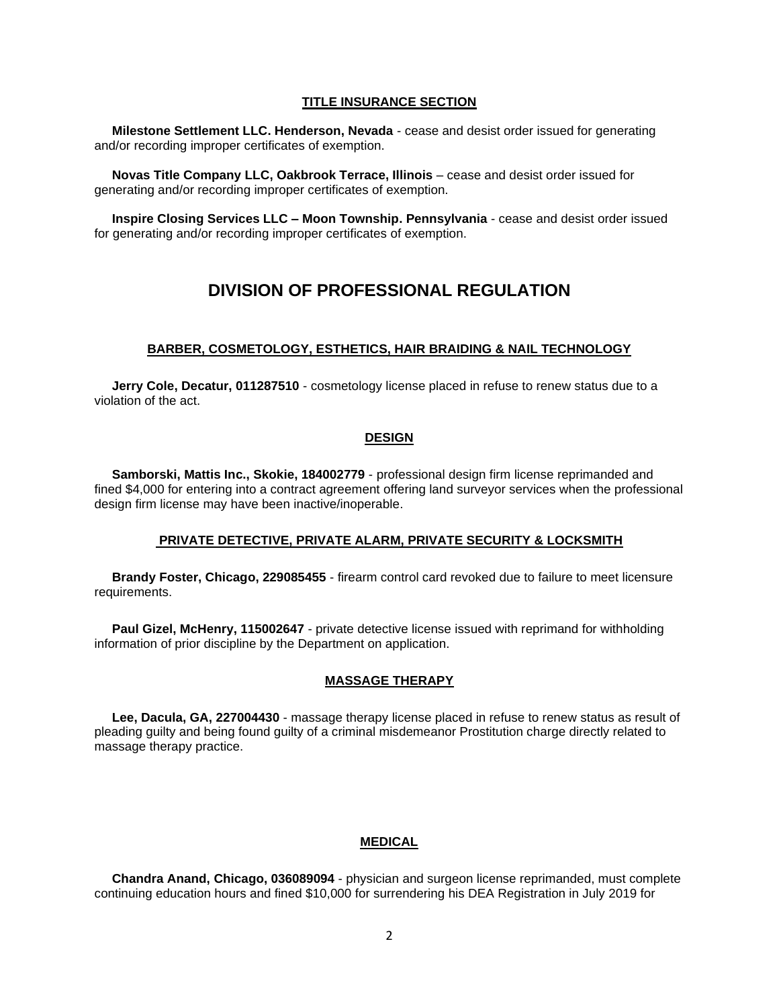#### **TITLE INSURANCE SECTION**

 **Milestone Settlement LLC. Henderson, Nevada** - cease and desist order issued for generating and/or recording improper certificates of exemption.

 **Novas Title Company LLC, Oakbrook Terrace, Illinois** – cease and desist order issued for generating and/or recording improper certificates of exemption.

 **Inspire Closing Services LLC – Moon Township. Pennsylvania** - cease and desist order issued for generating and/or recording improper certificates of exemption.

# **DIVISION OF PROFESSIONAL REGULATION**

#### **BARBER, COSMETOLOGY, ESTHETICS, HAIR BRAIDING & NAIL TECHNOLOGY**

 **Jerry Cole, Decatur, 011287510** - cosmetology license placed in refuse to renew status due to a violation of the act.

#### **DESIGN**

 **Samborski, Mattis Inc., Skokie, 184002779** - professional design firm license reprimanded and fined \$4,000 for entering into a contract agreement offering land surveyor services when the professional design firm license may have been inactive/inoperable.

#### **PRIVATE DETECTIVE, PRIVATE ALARM, PRIVATE SECURITY & LOCKSMITH**

 **Brandy Foster, Chicago, 229085455** - firearm control card revoked due to failure to meet licensure requirements.

 **Paul Gizel, McHenry, 115002647** - private detective license issued with reprimand for withholding information of prior discipline by the Department on application.

#### **MASSAGE THERAPY**

 **Lee, Dacula, GA, 227004430** - massage therapy license placed in refuse to renew status as result of pleading guilty and being found guilty of a criminal misdemeanor Prostitution charge directly related to massage therapy practice.

#### **MEDICAL**

 **Chandra Anand, Chicago, 036089094** - physician and surgeon license reprimanded, must complete continuing education hours and fined \$10,000 for surrendering his DEA Registration in July 2019 for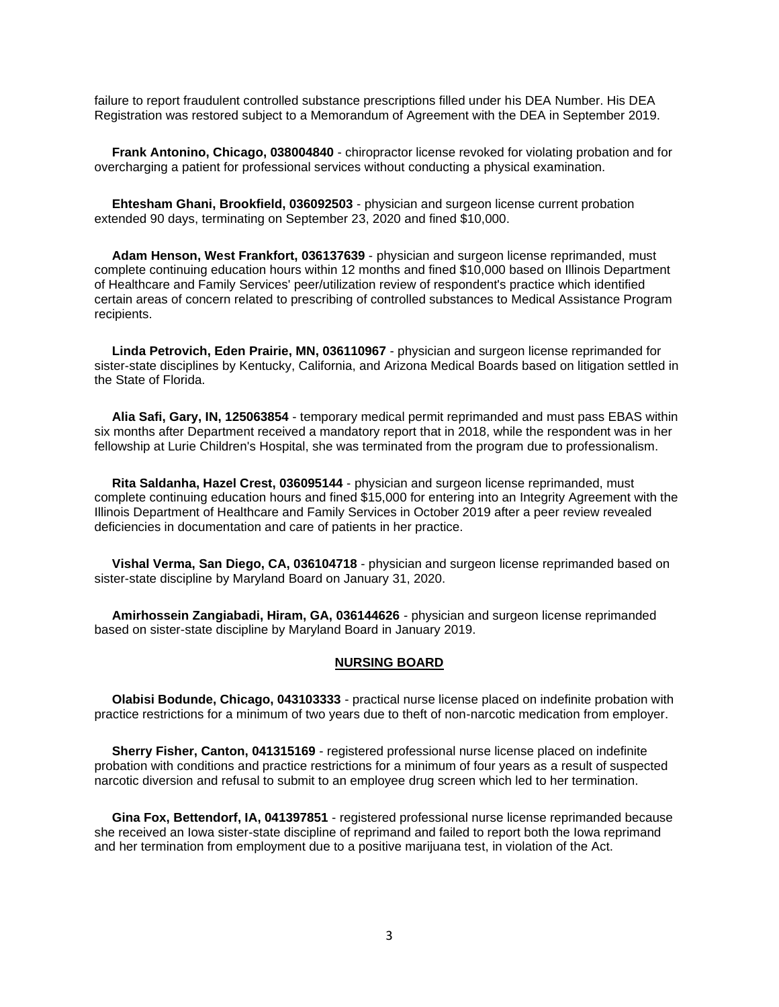failure to report fraudulent controlled substance prescriptions filled under his DEA Number. His DEA Registration was restored subject to a Memorandum of Agreement with the DEA in September 2019.

 **Frank Antonino, Chicago, 038004840** - chiropractor license revoked for violating probation and for overcharging a patient for professional services without conducting a physical examination.

 **Ehtesham Ghani, Brookfield, 036092503** - physician and surgeon license current probation extended 90 days, terminating on September 23, 2020 and fined \$10,000.

 **Adam Henson, West Frankfort, 036137639** - physician and surgeon license reprimanded, must complete continuing education hours within 12 months and fined \$10,000 based on Illinois Department of Healthcare and Family Services' peer/utilization review of respondent's practice which identified certain areas of concern related to prescribing of controlled substances to Medical Assistance Program recipients.

 **Linda Petrovich, Eden Prairie, MN, 036110967** - physician and surgeon license reprimanded for sister-state disciplines by Kentucky, California, and Arizona Medical Boards based on litigation settled in the State of Florida.

 **Alia Safi, Gary, IN, 125063854** - temporary medical permit reprimanded and must pass EBAS within six months after Department received a mandatory report that in 2018, while the respondent was in her fellowship at Lurie Children's Hospital, she was terminated from the program due to professionalism.

 **Rita Saldanha, Hazel Crest, 036095144** - physician and surgeon license reprimanded, must complete continuing education hours and fined \$15,000 for entering into an Integrity Agreement with the Illinois Department of Healthcare and Family Services in October 2019 after a peer review revealed deficiencies in documentation and care of patients in her practice.

 **Vishal Verma, San Diego, CA, 036104718** - physician and surgeon license reprimanded based on sister-state discipline by Maryland Board on January 31, 2020.

 **Amirhossein Zangiabadi, Hiram, GA, 036144626** - physician and surgeon license reprimanded based on sister-state discipline by Maryland Board in January 2019.

#### **NURSING BOARD**

 **Olabisi Bodunde, Chicago, 043103333** - practical nurse license placed on indefinite probation with practice restrictions for a minimum of two years due to theft of non-narcotic medication from employer.

 **Sherry Fisher, Canton, 041315169** - registered professional nurse license placed on indefinite probation with conditions and practice restrictions for a minimum of four years as a result of suspected narcotic diversion and refusal to submit to an employee drug screen which led to her termination.

 **Gina Fox, Bettendorf, IA, 041397851** - registered professional nurse license reprimanded because she received an Iowa sister-state discipline of reprimand and failed to report both the Iowa reprimand and her termination from employment due to a positive marijuana test, in violation of the Act.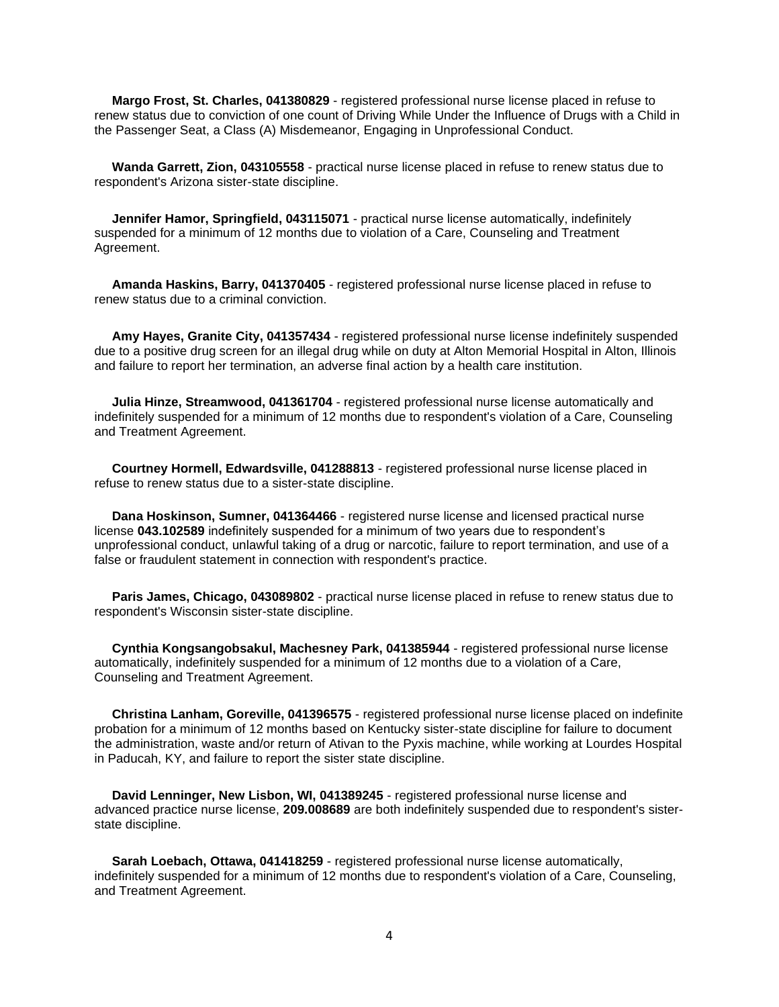**Margo Frost, St. Charles, 041380829** - registered professional nurse license placed in refuse to renew status due to conviction of one count of Driving While Under the Influence of Drugs with a Child in the Passenger Seat, a Class (A) Misdemeanor, Engaging in Unprofessional Conduct.

 **Wanda Garrett, Zion, 043105558** - practical nurse license placed in refuse to renew status due to respondent's Arizona sister-state discipline.

 **Jennifer Hamor, Springfield, 043115071** - practical nurse license automatically, indefinitely suspended for a minimum of 12 months due to violation of a Care, Counseling and Treatment Agreement.

 **Amanda Haskins, Barry, 041370405** - registered professional nurse license placed in refuse to renew status due to a criminal conviction.

 **Amy Hayes, Granite City, 041357434** - registered professional nurse license indefinitely suspended due to a positive drug screen for an illegal drug while on duty at Alton Memorial Hospital in Alton, Illinois and failure to report her termination, an adverse final action by a health care institution.

 **Julia Hinze, Streamwood, 041361704** - registered professional nurse license automatically and indefinitely suspended for a minimum of 12 months due to respondent's violation of a Care, Counseling and Treatment Agreement.

 **Courtney Hormell, Edwardsville, 041288813** - registered professional nurse license placed in refuse to renew status due to a sister-state discipline.

 **Dana Hoskinson, Sumner, 041364466** - registered nurse license and licensed practical nurse license **043.102589** indefinitely suspended for a minimum of two years due to respondent's unprofessional conduct, unlawful taking of a drug or narcotic, failure to report termination, and use of a false or fraudulent statement in connection with respondent's practice.

 **Paris James, Chicago, 043089802** - practical nurse license placed in refuse to renew status due to respondent's Wisconsin sister-state discipline.

 **Cynthia Kongsangobsakul, Machesney Park, 041385944** - registered professional nurse license automatically, indefinitely suspended for a minimum of 12 months due to a violation of a Care, Counseling and Treatment Agreement.

 **Christina Lanham, Goreville, 041396575** - registered professional nurse license placed on indefinite probation for a minimum of 12 months based on Kentucky sister-state discipline for failure to document the administration, waste and/or return of Ativan to the Pyxis machine, while working at Lourdes Hospital in Paducah, KY, and failure to report the sister state discipline.

 **David Lenninger, New Lisbon, WI, 041389245** - registered professional nurse license and advanced practice nurse license, **209.008689** are both indefinitely suspended due to respondent's sisterstate discipline.

 **Sarah Loebach, Ottawa, 041418259** - registered professional nurse license automatically, indefinitely suspended for a minimum of 12 months due to respondent's violation of a Care, Counseling, and Treatment Agreement.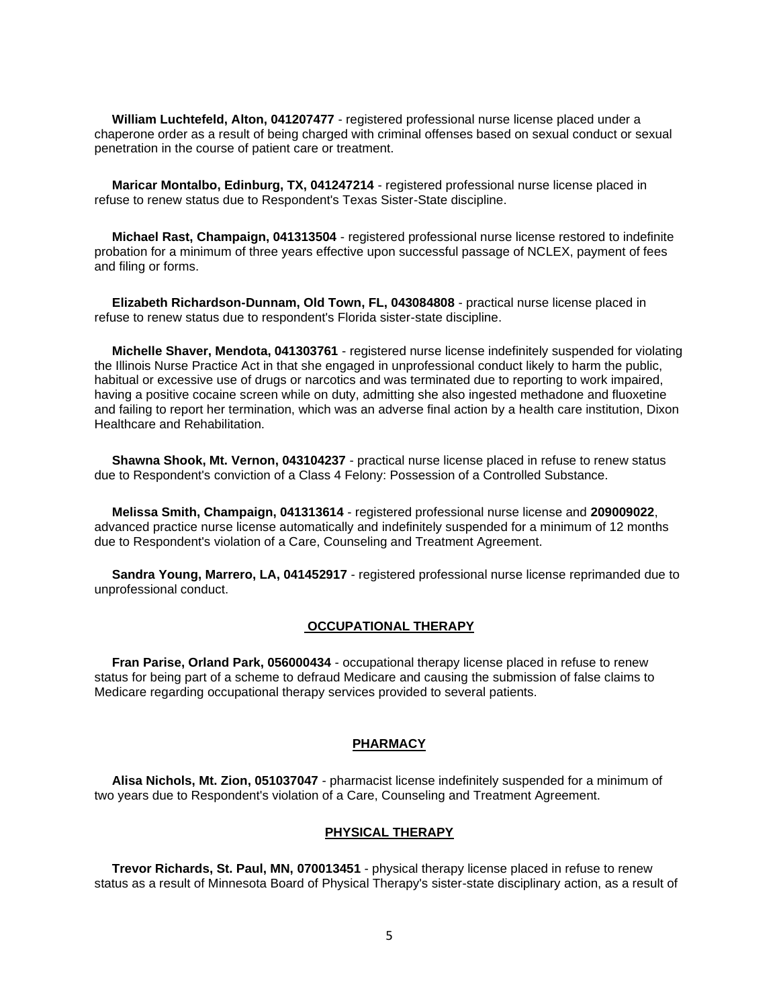**William Luchtefeld, Alton, 041207477** - registered professional nurse license placed under a chaperone order as a result of being charged with criminal offenses based on sexual conduct or sexual penetration in the course of patient care or treatment.

 **Maricar Montalbo, Edinburg, TX, 041247214** - registered professional nurse license placed in refuse to renew status due to Respondent's Texas Sister-State discipline.

 **Michael Rast, Champaign, 041313504** - registered professional nurse license restored to indefinite probation for a minimum of three years effective upon successful passage of NCLEX, payment of fees and filing or forms.

 **Elizabeth Richardson-Dunnam, Old Town, FL, 043084808** - practical nurse license placed in refuse to renew status due to respondent's Florida sister-state discipline.

 **Michelle Shaver, Mendota, 041303761** - registered nurse license indefinitely suspended for violating the Illinois Nurse Practice Act in that she engaged in unprofessional conduct likely to harm the public, habitual or excessive use of drugs or narcotics and was terminated due to reporting to work impaired, having a positive cocaine screen while on duty, admitting she also ingested methadone and fluoxetine and failing to report her termination, which was an adverse final action by a health care institution, Dixon Healthcare and Rehabilitation.

 **Shawna Shook, Mt. Vernon, 043104237** - practical nurse license placed in refuse to renew status due to Respondent's conviction of a Class 4 Felony: Possession of a Controlled Substance.

 **Melissa Smith, Champaign, 041313614** - registered professional nurse license and **209009022**, advanced practice nurse license automatically and indefinitely suspended for a minimum of 12 months due to Respondent's violation of a Care, Counseling and Treatment Agreement.

 **Sandra Young, Marrero, LA, 041452917** - registered professional nurse license reprimanded due to unprofessional conduct.

#### **OCCUPATIONAL THERAPY**

 **Fran Parise, Orland Park, 056000434** - occupational therapy license placed in refuse to renew status for being part of a scheme to defraud Medicare and causing the submission of false claims to Medicare regarding occupational therapy services provided to several patients.

#### **PHARMACY**

 **Alisa Nichols, Mt. Zion, 051037047** - pharmacist license indefinitely suspended for a minimum of two years due to Respondent's violation of a Care, Counseling and Treatment Agreement.

#### **PHYSICAL THERAPY**

 **Trevor Richards, St. Paul, MN, 070013451** - physical therapy license placed in refuse to renew status as a result of Minnesota Board of Physical Therapy's sister-state disciplinary action, as a result of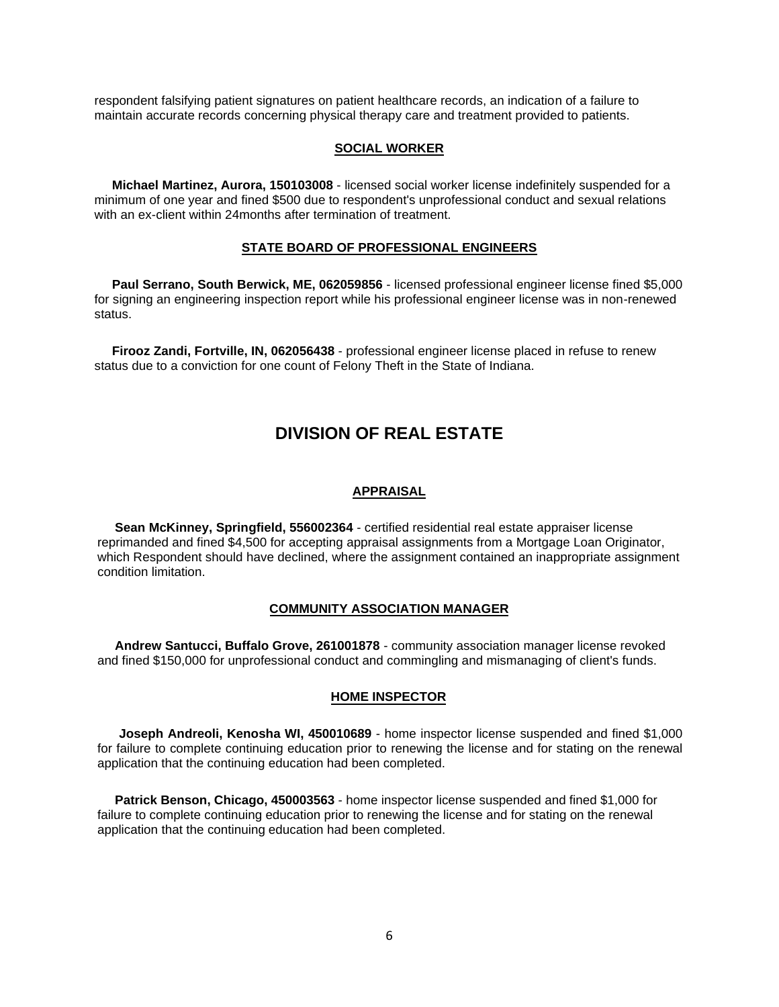respondent falsifying patient signatures on patient healthcare records, an indication of a failure to maintain accurate records concerning physical therapy care and treatment provided to patients.

#### **SOCIAL WORKER**

 **Michael Martinez, Aurora, 150103008** - licensed social worker license indefinitely suspended for a minimum of one year and fined \$500 due to respondent's unprofessional conduct and sexual relations with an ex-client within 24months after termination of treatment.

#### **STATE BOARD OF PROFESSIONAL ENGINEERS**

 **Paul Serrano, South Berwick, ME, 062059856** - licensed professional engineer license fined \$5,000 for signing an engineering inspection report while his professional engineer license was in non-renewed status.

 **Firooz Zandi, Fortville, IN, 062056438** - professional engineer license placed in refuse to renew status due to a conviction for one count of Felony Theft in the State of Indiana.

## **DIVISION OF REAL ESTATE**

#### **APPRAISAL**

 **Sean McKinney, Springfield, 556002364** - certified residential real estate appraiser license reprimanded and fined \$4,500 for accepting appraisal assignments from a Mortgage Loan Originator, which Respondent should have declined, where the assignment contained an inappropriate assignment condition limitation.

#### **COMMUNITY ASSOCIATION MANAGER**

 **Andrew Santucci, Buffalo Grove, 261001878** - community association manager license revoked and fined \$150,000 for unprofessional conduct and commingling and mismanaging of client's funds.

#### **HOME INSPECTOR**

 **Joseph Andreoli, Kenosha WI, 450010689** - home inspector license suspended and fined \$1,000 for failure to complete continuing education prior to renewing the license and for stating on the renewal application that the continuing education had been completed.

 **Patrick Benson, Chicago, 450003563** - home inspector license suspended and fined \$1,000 for failure to complete continuing education prior to renewing the license and for stating on the renewal application that the continuing education had been completed.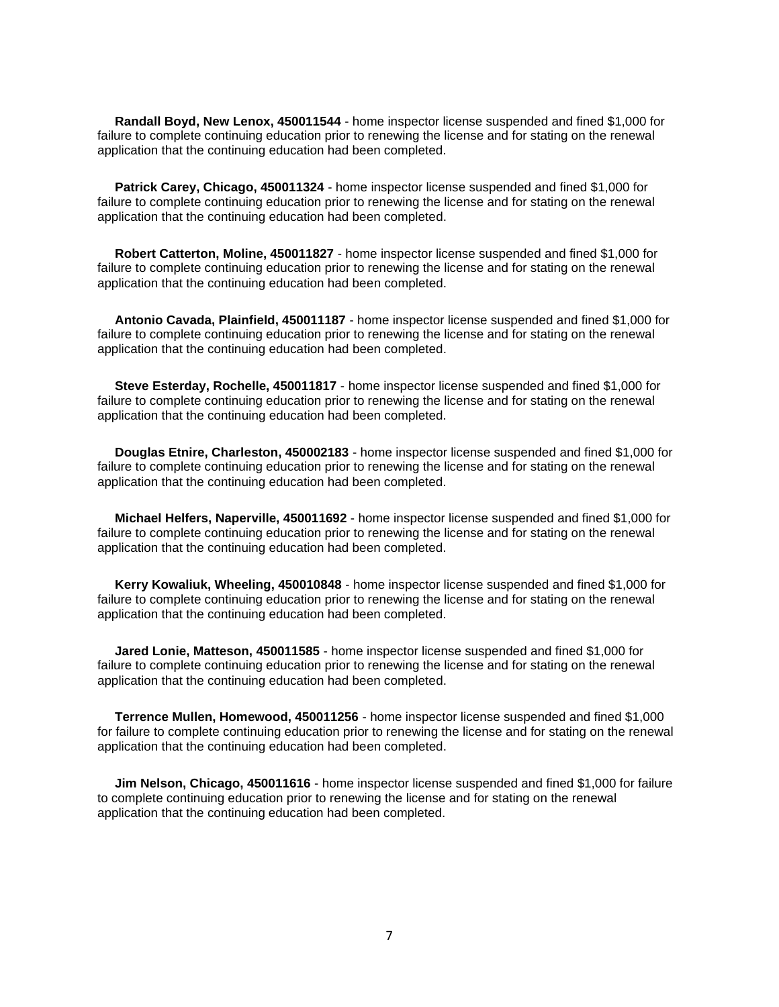**Randall Boyd, New Lenox, 450011544** - home inspector license suspended and fined \$1,000 for failure to complete continuing education prior to renewing the license and for stating on the renewal application that the continuing education had been completed.

 **Patrick Carey, Chicago, 450011324** - home inspector license suspended and fined \$1,000 for failure to complete continuing education prior to renewing the license and for stating on the renewal application that the continuing education had been completed.

 **Robert Catterton, Moline, 450011827** - home inspector license suspended and fined \$1,000 for failure to complete continuing education prior to renewing the license and for stating on the renewal application that the continuing education had been completed.

 **Antonio Cavada, Plainfield, 450011187** - home inspector license suspended and fined \$1,000 for failure to complete continuing education prior to renewing the license and for stating on the renewal application that the continuing education had been completed.

 **Steve Esterday, Rochelle, 450011817** - home inspector license suspended and fined \$1,000 for failure to complete continuing education prior to renewing the license and for stating on the renewal application that the continuing education had been completed.

 **Douglas Etnire, Charleston, 450002183** - home inspector license suspended and fined \$1,000 for failure to complete continuing education prior to renewing the license and for stating on the renewal application that the continuing education had been completed.

 **Michael Helfers, Naperville, 450011692** - home inspector license suspended and fined \$1,000 for failure to complete continuing education prior to renewing the license and for stating on the renewal application that the continuing education had been completed.

 **Kerry Kowaliuk, Wheeling, 450010848** - home inspector license suspended and fined \$1,000 for failure to complete continuing education prior to renewing the license and for stating on the renewal application that the continuing education had been completed.

 **Jared Lonie, Matteson, 450011585** - home inspector license suspended and fined \$1,000 for failure to complete continuing education prior to renewing the license and for stating on the renewal application that the continuing education had been completed.

 **Terrence Mullen, Homewood, 450011256** - home inspector license suspended and fined \$1,000 for failure to complete continuing education prior to renewing the license and for stating on the renewal application that the continuing education had been completed.

 **Jim Nelson, Chicago, 450011616** - home inspector license suspended and fined \$1,000 for failure to complete continuing education prior to renewing the license and for stating on the renewal application that the continuing education had been completed.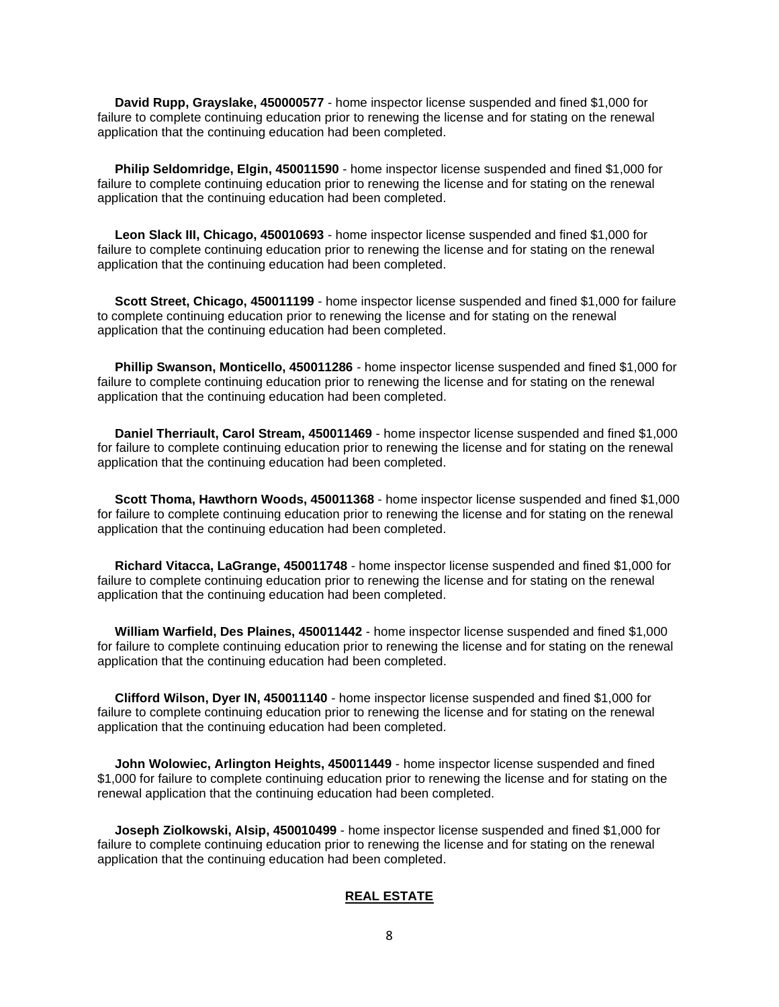**David Rupp, Grayslake, 450000577** - home inspector license suspended and fined \$1,000 for failure to complete continuing education prior to renewing the license and for stating on the renewal application that the continuing education had been completed.

 **Philip Seldomridge, Elgin, 450011590** - home inspector license suspended and fined \$1,000 for failure to complete continuing education prior to renewing the license and for stating on the renewal application that the continuing education had been completed.

 **Leon Slack III, Chicago, 450010693** - home inspector license suspended and fined \$1,000 for failure to complete continuing education prior to renewing the license and for stating on the renewal application that the continuing education had been completed.

 **Scott Street, Chicago, 450011199** - home inspector license suspended and fined \$1,000 for failure to complete continuing education prior to renewing the license and for stating on the renewal application that the continuing education had been completed.

 **Phillip Swanson, Monticello, 450011286** - home inspector license suspended and fined \$1,000 for failure to complete continuing education prior to renewing the license and for stating on the renewal application that the continuing education had been completed.

 **Daniel Therriault, Carol Stream, 450011469** - home inspector license suspended and fined \$1,000 for failure to complete continuing education prior to renewing the license and for stating on the renewal application that the continuing education had been completed.

 **Scott Thoma, Hawthorn Woods, 450011368** - home inspector license suspended and fined \$1,000 for failure to complete continuing education prior to renewing the license and for stating on the renewal application that the continuing education had been completed.

 **Richard Vitacca, LaGrange, 450011748** - home inspector license suspended and fined \$1,000 for failure to complete continuing education prior to renewing the license and for stating on the renewal application that the continuing education had been completed.

 **William Warfield, Des Plaines, 450011442** - home inspector license suspended and fined \$1,000 for failure to complete continuing education prior to renewing the license and for stating on the renewal application that the continuing education had been completed.

 **Clifford Wilson, Dyer IN, 450011140** - home inspector license suspended and fined \$1,000 for failure to complete continuing education prior to renewing the license and for stating on the renewal application that the continuing education had been completed.

 **John Wolowiec, Arlington Heights, 450011449** - home inspector license suspended and fined \$1,000 for failure to complete continuing education prior to renewing the license and for stating on the renewal application that the continuing education had been completed.

 **Joseph Ziolkowski, Alsip, 450010499** - home inspector license suspended and fined \$1,000 for failure to complete continuing education prior to renewing the license and for stating on the renewal application that the continuing education had been completed.

#### **REAL ESTATE**